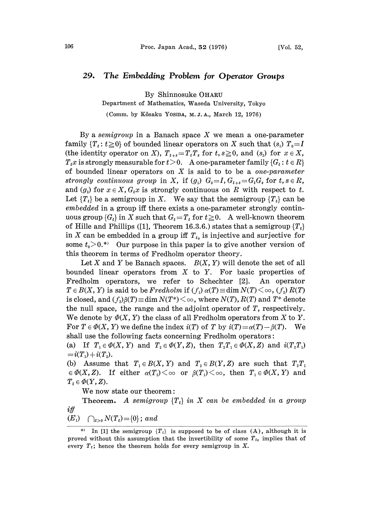## 29. The Embedding Problem for Operator Groups

By Shinnosuke OHARU

Department of Mathematics, Waseda University, Tokyo

(Comm. by Kôsaku Yosida, M.J.A., March 12, 1976)

By a semigroup in a Banach space  $X$  we mean a one-parameter family  $\{T_t: t\geq 0\}$  of bounded linear operators on X such that  $(s_1)$   $T_0=I$ (the identity operator on X),  $T_{t+s}=T_tT_s$  for  $t, s\geq 0$ , and  $(s_2)$  for  $x \in X$ ,  $T_tx$  is strongly measurable for  $t > 0$ . A one-parameter family  $\{G_t : t \in R\}$ of bounded linear operators on  $X$  is said to to be a *one-parameter* strongly continuous group in X, if  $(g_1)$   $G_0=I$ ,  $G_{t+s}=G_tG_s$  for  $t, s \in R$ , and  $(g_2)$  for  $x \in X$ ,  $G_t x$  is strongly continuous on R with respect to t. Let  ${T<sub>t</sub>}$  be a semigroup in X. We say that the semigroup  ${T<sub>t</sub>}$  can be embedded in a group iff there exists a one-parameter strongly continuous group  $\{G_t\}$  in X such that  $G_t=T_t$  for  $t \geq 0$ . A well-known theorem of Hille and Phillips ([1], Theorem 16.3.6.) states that a semigroup  ${T_t}$ in X can be embedded in a group iff  $T_{t_0}$  is injective and surjective for some  $t_0 > 0$ .<sup>\*</sup> Our purpose in this paper is to give another version of this theorem in terms of Fredholm operator theory.

Let X and Y be Banach spaces.  $B(X, Y)$  will denote the set of all bounded linear operators from  $X$  to  $Y$ . For basic properties of Fredholm operators, we refer to Schechter [2]. An operator  $T \in B(X, Y)$  is said to be Fredholm if  $(f_1) \alpha(T) \equiv \dim N(T) \leq \infty$ ,  $(f_2) R(T)$ is closed, and  $(f_3)\beta(T) \equiv \dim N(T^*) \leq \infty$ , where  $N(T)$ ,  $R(T)$  and  $T^*$  denote the null space, the range, and the adjoint operator of T, respectively. We denote by  $\Phi(X, Y)$  the class of all Fredholm operators from X to Y. For  $T \in \Phi(X, Y)$  we define the index  $i(T)$  of T by  $i(T) = \alpha(T) - \beta(T)$ . We shall use the following facts concerning Fredholm operators:

(a) If  $T_1 \in \Phi(X, Y)$  and  $T_2 \in \Phi(Y, Z)$ , then  $T_2T_1 \in \Phi(X, Z)$  and  $i(T_2T_1)$  $i(T_1) + i(T_2).$ 

(b) Assume that  $T_1 \in B(X, Y)$  and  $T_2 \in B(Y, Z)$  are such that  $T_2T_1$  $\in \Phi(X, Z)$ . If either  $\alpha(T_2) \leq \infty$  or  $\beta(T_1) \leq \infty$ , then  $T_1 \in \Phi(X, Y)$  and  $T_2 \in \Phi(Y, Z)$ .

We now state our theorem:

Theorem. A semigroup  $\{T_t\}$  in X can be embedded in a group  $if f$ 

$$
(E_1) \quad \bigcap_{t>0} N(T_t) = \{0\}; \ and
$$

In [1] the semigroup  ${T_t}$  is supposed to be of class (A), although it is proved without this assumption that the invertibility of some  $T_{t_0}$  implies that of every  $T_t$ ; hence the theorem holds for every semigroup in X.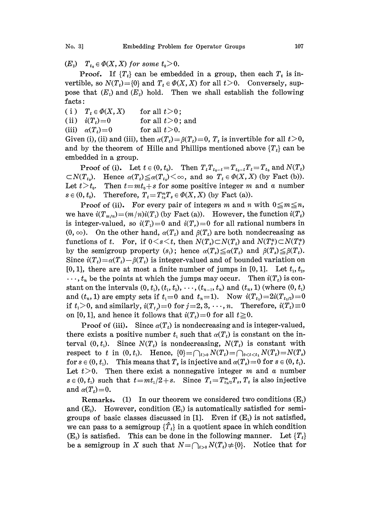$(E_2)$   $T_{t_0} \in \Phi(X, X)$  for some  $t_0 > 0$ .

**Proof.** If  $\{T_t\}$  can be embedded in a group, then each  $T_t$  is invertible, so  $N(T_t) = \{0\}$  and  $T_t \in \Phi(X, X)$  for all  $t>0$ . Conversely, suppose that  $(E_1)$  and  $(E_2)$  hold. Then we shall establish the following facts:

- (i)  $T_t \in \Phi(X, X)$  for all  $t>0$ ;
- (ii)  $i(T_t)=0$  for all  $t>0$ ; and
- (iii)  $\alpha(T_t)=0$  for all  $t>0$ .

Given (i), (ii) and (iii), then  $\alpha(T_t) = \beta(T_t) = 0$ ,  $T_t$  is invertible for all  $t>0$ , and by the theorem of Hille and Phillips mentioned above  $\{T_t\}$  can be embedded in a group.

**Proof of (i).** Let  $t \in (0, t_0)$ . Then  $T_t T_{t_0-t}=T_{t_0-t}T_t=T_{t_0}$  and  $N(T_t)$  $\subset N(T_{t_0})$ . Hence  $\alpha(T_t) \leq \alpha(T_{t_0})<\infty$ , and so  $T_t \in \Phi(X,X)$  (by Fact (b)). Let  $t>t_0$ . Then  $t=mt_0+s$  for some positive integer m and a number  $s \in (0, t_0)$ . Therefore,  $T_t = T_{t_0}^m T_s \in \Phi(X, X)$  (by Fact (a)).

**Proof of (ii).** For every pair of integers m and n with  $0 \le m \le n$ , we have  $i(T_{m/n})=(m/n)i(T_i)$  (by Fact (a)). However, the function  $i(T_t)$ is integer-valued, so  $i(T_1)=0$  and  $i(T_2)=0$  for all rational numbers in  $(0, \infty)$ . On the other hand,  $\alpha(T_t)$  and  $\beta(T_t)$  are both nondecreasing as functions of t. For, if  $0 \lt s \lt t$ , then  $N(T_s) \subset N(T_t)$  and  $N(T_s^*) \subset N(T_t^*)$ by the semigroup property  $(s_1)$ ; hence  $\alpha(T_s) \leq \alpha(T_t)$  and  $\beta(T_s) \leq \beta(T_t)$ . Since  $i(T_t) = \alpha(T_t) - \beta(T_t)$  is integer-valued and of bounded variation on  $[0, 1]$ , there are at most a finite number of jumps in  $[0, 1]$ . Let  $t_1, t_2$ ,  $\ldots$ ,  $t_n$  be the points at which the jumps may occur. Then  $i(T_t)$  is constant on the intervals  $(0, t_1), (t_1, t_2), \cdots, (t_{n-1}, t_n)$  and  $(t_n, 1)$  (where  $(0, t_1)$ ) and  $(t_n, 1)$  are empty sets if  $t_1=0$  and  $t_n=1$ . Now  $i(T_{t_1})=2i(T_{t_1/2})=0$ if  $t_1>0$ , and similarly,  $i(T_t)=0$  for  $j=2, 3, \dots, n$ . Therefore,  $i(T_t)\equiv 0$ on [0, 1], and hence it follows that  $i(T_t)=0$  for all  $t\geq0$ .

**Proof of (iii).** Since  $\alpha(T_t)$  is nondecreasing and is integer-valued, there exists a positive number  $t_1$  such that  $\alpha(T_t)$  is constant on the interval  $(0, t_1)$ . Since  $N(T_t)$  is nondecreasing,  $N(T_t)$  is constant with respect to t in  $(0, t_1)$ . Hence,  $\{0\} = \bigcap_{t>0} N(T_t) = \bigcap_{0 < t < t_1} N(T_t) = N(T_s)$ for  $s \in (0, t_1)$ . This means that  $T_s$  is injective and  $\alpha(T_s)=0$  for  $s \in (0, t_1)$ .<br>Let  $t > 0$ . Then there exist a nonnegative integer m and a number Then there exist a nonnegative integer  $m$  and  $\alpha$  number  $s \in (0, t_1)$  such that  $t=mt_1/2 + s$ . Since  $T_t = T_{t_1/2}^m T_s$ ,  $T_t$  is also injective and  $\alpha(T_t) = 0$ .

**Remarks.** (1) In our theorem we considered two conditions  $(E_1)$ and  $(E_2)$ . However, condition  $(E_1)$  is automatically satisfied for semigroups of basic classes discussed in [1]. Even if  $(E_i)$  is not satisfied, we can pass to a semigroup  $\{\hat{T}_t\}$  in a quotient space in which condition  $(E_1)$  is satisfied. This can be done in the following manner. Let  $\{T_t\}$ be a semigroup in X such that  $N=\bigcap_{t>0} N(T_t) \neq \{0\}$ . Notice that for